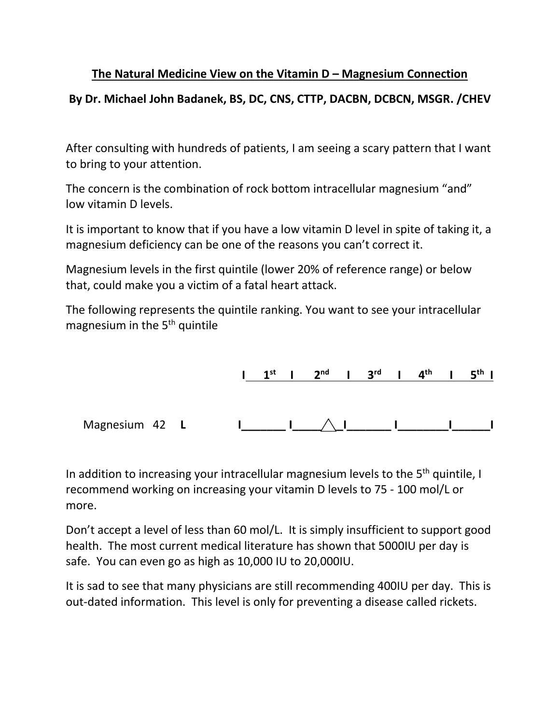## **The Natural Medicine View on the Vitamin D – Magnesium Connection**

## **By Dr. Michael John Badanek, BS, DC, CNS, CTTP, DACBN, DCBCN, MSGR. /CHEV**

After consulting with hundreds of patients, I am seeing a scary pattern that I want to bring to your attention.

The concern is the combination of rock bottom intracellular magnesium "and" low vitamin D levels.

It is important to know that if you have a low vitamin D level in spite of taking it, a magnesium deficiency can be one of the reasons you can't correct it.

Magnesium levels in the first quintile (lower 20% of reference range) or below that, could make you a victim of a fatal heart attack.

The following represents the quintile ranking. You want to see your intracellular magnesium in the 5<sup>th</sup> quintile



In addition to increasing your intracellular magnesium levels to the  $5<sup>th</sup>$  quintile, I recommend working on increasing your vitamin D levels to 75 - 100 mol/L or more.

Don't accept a level of less than 60 mol/L. It is simply insufficient to support good health. The most current medical literature has shown that 5000IU per day is safe. You can even go as high as 10,000 IU to 20,000IU.

It is sad to see that many physicians are still recommending 400IU per day. This is out-dated information. This level is only for preventing a disease called rickets.